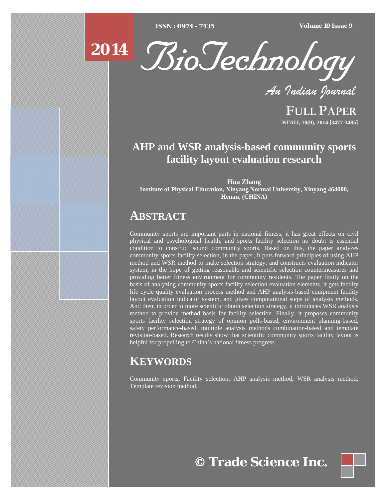[Type text] [Type text] [Type text] *ISSN : 0974 - 7435 Volume 10 Issue 9*



*An Indian Journal*

FULL PAPER **BTAIJ, 10(9), 2014 [3477-3485]**

# **AHP and WSR analysis-based community sports facility layout evaluation research**

**Hua Zhang Institute of Physical Education, Xinyang Normal University, Xinyang 464000, Henan, (CHINA)**

# **ABSTRACT**

Community sports are important parts in national fitness, it has great effects on civil physical and psychological health, and sports facility selection no doubt is essential condition to construct sound community sports. Based on this, the paper analyzes community sports facility selection, in the paper, it puts forward principles of using AHP method and WSR method to make selection strategy, and constructs evaluation indicator system, in the hope of getting reasonable and scientific selection countermeasures and providing better fitness environment for community residents. The paper firstly on the basis of analyzing community sports facility selection evaluation elements, it gets facility life cycle quality evaluation process method and AHP analysis-based equipment facility layout evaluation indicator system, and gives computational steps of analysis methods. And then, in order to more scientific obtain selection strategy, it introduces WSR analysis method to provide method basis for facility selection. Finally, it proposes community sports facility selection strategy of opinion polls-based, environment planning-based, safety performance-based, multiple analysis methods combination-based and template revision-based. Research results show that scientific community sports facility layout is helpful for propelling to China's national fitness progress.

# **KEYWORDS**

Community sports; Facility selection; AHP analysis method; WSR analysis method; Template revision method.



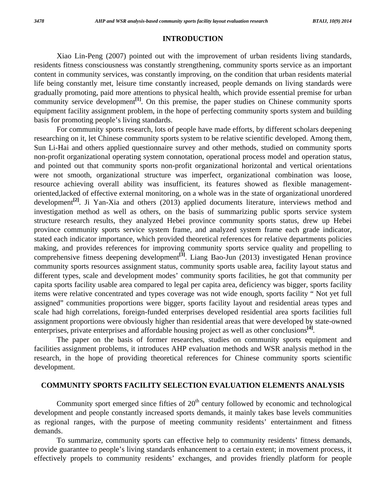#### **INTRODUCTION**

Xiao Lin-Peng (2007) pointed out with the improvement of urban residents living standards, residents fitness consciousness was constantly strengthening, community sports service as an important content in community services, was constantly improving, on the condition that urban residents material life being constantly met, leisure time constantly increased, people demands on living standards were gradually promoting, paid more attentions to physical health, which provide essential premise for urban community service development<sup>[1]</sup>. On this premise, the paper studies on Chinese community sports equipment facility assignment problem, in the hope of perfecting community sports system and building basis for promoting people's living standards.

 For community sports research, lots of people have made efforts, by different scholars deepening researching on it, let Chinese community sports system to be relative scientific developed. Among them, Sun Li-Hai and others applied questionnaire survey and other methods, studied on community sports non-profit organizational operating system connotation, operational process model and operation status, and pointed out that community sports non-profit organizational horizontal and vertical orientations were not smooth, organizational structure was imperfect, organizational combination was loose, resource achieving overall ability was insufficient, its features showed as flexible managementoriented,lacked of effective external monitoring, on a whole was in the state of organizational unordered development<sup>[2]</sup>. Ji Yan-Xia and others (2013) applied documents literature, interviews method and investigation method as well as others, on the basis of summarizing public sports service system structure research results, they analyzed Hebei province community sports status, drew up Hebei province community sports service system frame, and analyzed system frame each grade indicator, stated each indicator importance, which provided theoretical references for relative departments policies making, and provides references for improving community sports service quality and propelling to comprehensive fitness deepening development<sup>[3]</sup>. Liang Bao-Jun (2013) investigated Henan province community sports resources assignment status, community sports usable area, facility layout status and different types, scale and development modes' community sports facilities, he got that community per capita sports facility usable area compared to legal per capita area, deficiency was bigger, sports facility items were relative concentrated and types coverage was not wide enough, sports facility " Not yet full assigned" communities proportions were bigger, sports facility layout and residential areas types and scale had high correlations, foreign-funded enterprises developed residential area sports facilities full assignment proportions were obviously higher than residential areas that were developed by state-owned enterprises, private enterprises and affordable housing project as well as other conclusions**[4]**.

 The paper on the basis of former researches, studies on community sports equipment and facilities assignment problems, it introduces AHP evaluation methods and WSR analysis method in the research, in the hope of providing theoretical references for Chinese community sports scientific development.

## **COMMUNITY SPORTS FACILITY SELECTION EVALUATION ELEMENTS ANALYSIS**

Community sport emerged since fifties of  $20<sup>th</sup>$  century followed by economic and technological development and people constantly increased sports demands, it mainly takes base levels communities as regional ranges, with the purpose of meeting community residents' entertainment and fitness demands.

 To summarize, community sports can effective help to community residents' fitness demands, provide guarantee to people's living standards enhancement to a certain extent; in movement process, it effectively propels to community residents' exchanges, and provides friendly platform for people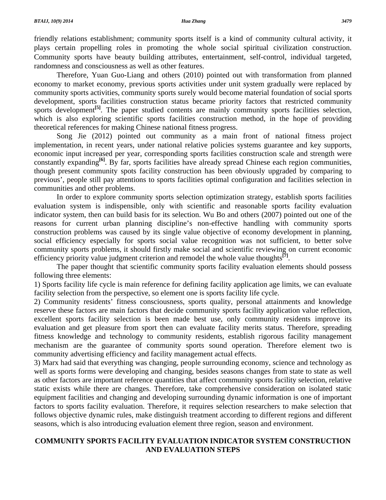friendly relations establishment; community sports itself is a kind of community cultural activity, it plays certain propelling roles in promoting the whole social spiritual civilization construction. Community sports have beauty building attributes, entertainment, self-control, individual targeted, randomness and consciousness as well as other features.

 Therefore, Yuan Guo-Liang and others (2010) pointed out with transformation from planned economy to market economy, previous sports activities under unit system gradually were replaced by community sports activities, community sports surely would become material foundation of social sports development, sports facilities construction status became priority factors that restricted community sports development<sup>[5]</sup>. The paper studied contents are mainly community sports facilities selection, which is also exploring scientific sports facilities construction method, in the hope of providing theoretical references for making Chinese national fitness progress.

 Song Jie (2012) pointed out community as a main front of national fitness project implementation, in recent years, under national relative policies systems guarantee and key supports, economic input increased per year, corresponding sports facilities construction scale and strength were constantly expanding<sup>[6]</sup>. By far, sports facilities have already spread Chinese each region communities, though present community spots facility construction has been obviously upgraded by comparing to previous', people still pay attentions to sports facilities optimal configuration and facilities selection in communities and other problems.

 In order to explore community sports selection optimization strategy, establish sports facilities evaluation system is indispensible, only with scientific and reasonable sports facility evaluation indicator system, then can build basis for its selection. Wu Bo and others (2007) pointed out one of the reasons for current urban planning discipline's non-effective handling with community sports construction problems was caused by its single value objective of economy development in planning, social efficiency especially for sports social value recognition was not sufficient, to better solve community sports problems, it should firstly make social and scientific reviewing on current economic efficiency priority value judgment criterion and remodel the whole value thoughts**[7]**.

 The paper thought that scientific community sports facility evaluation elements should possess following three elements:

1) Sports facility life cycle is main reference for defining facility application age limits, we can evaluate facility selection from the perspective, so element one is sports facility life cycle.

2) Community residents' fitness consciousness, sports quality, personal attainments and knowledge reserve these factors are main factors that decide community sports facility application value reflection, excellent sports facility selection is been made best use, only community residents improve its evaluation and get pleasure from sport then can evaluate facility merits status. Therefore, spreading fitness knowledge and technology to community residents, establish rigorous facility management mechanism are the guarantee of community sports sound operation. Therefore element two is community advertising efficiency and facility management actual effects.

3) Marx had said that everything was changing, people surrounding economy, science and technology as well as sports forms were developing and changing, besides seasons changes from state to state as well as other factors are important reference quantities that affect community sports facility selection, relative static exists while there are changes. Therefore, take comprehensive consideration on isolated static equipment facilities and changing and developing surrounding dynamic information is one of important factors to sports facility evaluation. Therefore, it requires selection researchers to make selection that follows objective dynamic rules, make distinguish treatment according to different regions and different seasons, which is also introducing evaluation element three region, season and environment.

# **COMMUNITY SPORTS FACILITY EVALUATION INDICATOR SYSTEM CONSTRUCTION AND EVALUATION STEPS**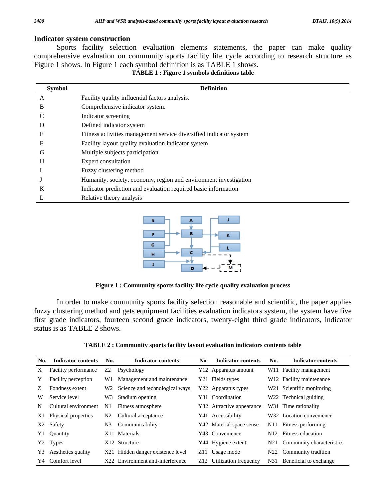### **Indicator system construction**

 Sports facility selection evaluation elements statements, the paper can make quality comprehensive evaluation on community sports facility life cycle according to research structure as Figure 1 shows. In Figure 1 each symbol definition is as TABLE 1 shows.

|  | <b>TABLE 1: Figure 1 symbols definitions table</b> |
|--|----------------------------------------------------|
|--|----------------------------------------------------|

| <b>Symbol</b> | <b>Definition</b>                                                  |
|---------------|--------------------------------------------------------------------|
| A             | Facility quality influential factors analysis.                     |
| B             | Comprehensive indicator system.                                    |
|               | Indicator screening                                                |
| D             | Defined indicator system                                           |
| E             | Fitness activities management service diversified indicator system |
| F             | Facility layout quality evaluation indicator system                |
| G             | Multiple subjects participation                                    |
| H             | Expert consultation                                                |
|               | Fuzzy clustering method                                            |
|               | Humanity, society, economy, region and environment investigation   |
| K             | Indicator prediction and evaluation required basic information     |
|               | Relative theory analysis                                           |



**Figure 1 : Community sports facility life cycle quality evaluation process** 

 In order to make community sports facility selection reasonable and scientific, the paper applies fuzzy clustering method and gets equipment facilities evaluation indicators system, the system have five first grade indicators, fourteen second grade indicators, twenty-eight third grade indicators, indicator status is as TABLE 2 shows.

|  |  |  |  | TABLE 2 : Community sports facility layout evaluation indicators contents table |
|--|--|--|--|---------------------------------------------------------------------------------|
|--|--|--|--|---------------------------------------------------------------------------------|

| No.            | <b>Indicator contents</b>  | No. | <b>Indicator contents</b>         | No. | <b>Indicator contents</b> | No.             | <b>Indicator contents</b>            |
|----------------|----------------------------|-----|-----------------------------------|-----|---------------------------|-----------------|--------------------------------------|
| X              | Facility performance       | Z2  | Psychology                        |     | Y12 Apparatus amount      |                 | W11 Facility management              |
| Y              | <b>Facility perception</b> | W1  | Management and maintenance        |     | Y21 Fields types          |                 | W <sub>12</sub> Facility maintenance |
| Z              | Fondness extent            | W2  | Science and technological ways    |     | Y22 Apparatus types       |                 | W21 Scientific monitoring            |
| W              | Service level              | W3  | Stadium opening                   |     | Y31 Coordination          |                 | W22 Technical guiding                |
| N              | Cultural environment       | N1  | Fitness atmosphere                |     | Y32 Attractive appearance |                 | W31 Time rationality                 |
| X1             | Physical properties        | N2  | Cultural acceptance               |     | Y41 Accessibility         |                 | W32 Location convenience             |
| X <sub>2</sub> | Safety                     | N3  | Communicability                   |     | Y42 Material space sense  | N11.            | Fitness performing                   |
| Y1             | Quantity                   |     | X11 Materials                     |     | Y43 Convenience           | N <sub>12</sub> | Fitness education                    |
|                | Y2 Types                   |     | X12 Structure                     |     | Y44 Hygiene extent        | N21             | Community characteristics            |
| Y3             | Aesthetics quality         |     | X21 Hidden danger existence level |     | Z11 Usage mode            | N22             | Community tradition                  |
| Y4.            | Comfort level              |     | X22 Environment anti-interference |     | Z12 Utilization frequency | N31             | Beneficial to exchange               |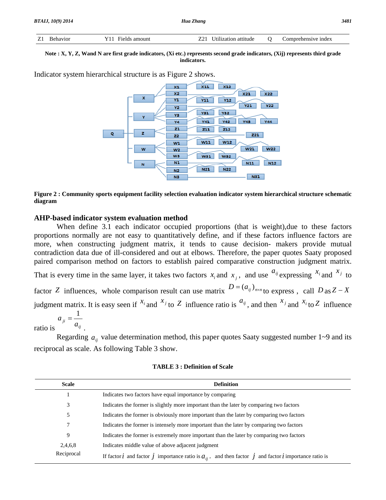| Z1 |  | $\overline{1}$ | ntude | : index<br>1 1 / 6 |
|----|--|----------------|-------|--------------------|
|    |  |                |       |                    |

#### **Note : X, Y, Z, Wand N are first grade indicators, (Xi etc.) represents second grade indicators, (Xij) represents third grade indicators.**

Indicator system hierarchical structure is as Figure 2 shows.



**Figure 2 : Community sports equipment facility selection evaluation indicator system hierarchical structure schematic diagram** 

#### **AHP-based indicator system evaluation method**

When define 3.1 each indicator occupied proportions (that is weight),due to these factors proportions normally are not easy to quantitatively define, and if these factors influence factors are more, when constructing judgment matrix, it tends to cause decision- makers provide mutual contradiction data due of ill-considered and out at elbows. Therefore, the paper quotes Saaty proposed paired comparison method on factors to establish paired comparative construction judgment matrix.

That is every time in the same layer, it takes two factors  $x_i$  and  $x_j$ , and use  $a_{ij}$  expressing  $x_i$  and  $x_j$  to factor *Z* influences, whole comparison result can use matrix  $D = (a_{ij})_{n \times n}$  to express, call  $D$  as  $Z - X$ judgment matrix. It is easy seen if  $x_i$  and  $x_j$  to Z influence ratio is  $a_{ij}$ , and then  $x_j$  and  $x_i$  to Z influence

ratio is  $a_{ji} = \frac{1}{a_i}$ 

.

Regarding  $a_{ij}$  value determination method, this paper quotes Saaty suggested number  $1 \sim 9$  and its reciprocal as scale. As following Table 3 show.

| <b>Scale</b> | <b>Definition</b>                                                                                                  |  |  |  |  |  |  |
|--------------|--------------------------------------------------------------------------------------------------------------------|--|--|--|--|--|--|
|              | Indicates two factors have equal importance by comparing                                                           |  |  |  |  |  |  |
| 3            | Indicates the former is slightly more important than the later by comparing two factors                            |  |  |  |  |  |  |
| 5            | Indicates the former is obviously more important than the later by comparing two factors                           |  |  |  |  |  |  |
|              | Indicates the former is intensely more important than the later by comparing two factors                           |  |  |  |  |  |  |
| 9            | Indicates the former is extremely more important than the later by comparing two factors                           |  |  |  |  |  |  |
| 2,4,6,8      | Indicates middle value of above adjacent judgment                                                                  |  |  |  |  |  |  |
| Reciprocal   | If factor $i$ and factor $j$ importance ratio is $a_{ii}$ , and then factor $j$ and factor $i$ importance ratio is |  |  |  |  |  |  |

**TABLE 3 : Definition of Scale**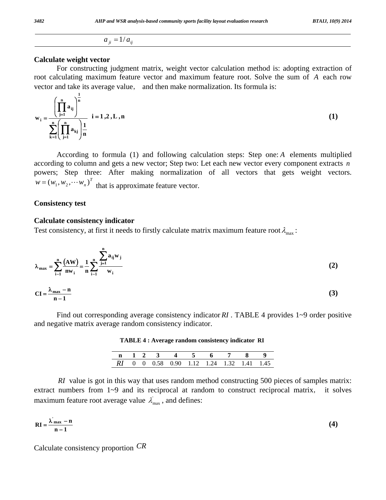# $a_{ii} = 1/a_{ii}$

## **Calculate weight vector**

For constructing judgment matrix, weight vector calculation method is: adopting extraction of root calculating maximum feature vector and maximum feature root. Solve the sum of *A* each row vector and take its average value, and then make normalization. Its formula is:

$$
w_{i} = \frac{\left(\prod_{j=1}^{n} a_{ij}\right)^{\frac{1}{n}}}{\sum_{k=1}^{n} \left(\prod_{j=1}^{n} a_{kj}\right)^{\frac{1}{n}}}
$$
 i = 1, 2, L, n (1)

 According to formula (1) and following calculation steps: Step one: *A* elements multiplied according to column and gets a new vector; Step two: Let each new vector every component extracts *n* powers; Step three: After making normalization of all vectors that gets weight vectors.  $w = (w_1, w_2, \cdots w_n)^T$  that is approximate feature vector.

#### **Consistency test**

### **Calculate consistency indicator**

Test consistency, at first it needs to firstly calculate matrix maximum feature root  $\lambda_{\text{max}}$ :

$$
\lambda_{\max} = \sum_{i=1}^{n} \frac{(AW)}{nw_i} = \frac{1}{n} \sum_{i=1}^{n} \frac{\sum_{j=1}^{n} a_{ij} w_j}{w_i}
$$
(2)  
CI =  $\frac{\lambda_{\max} - n}{n - 1}$ 

Find out corresponding average consistency indicator RI. TABLE 4 provides 1~9 order positive and negative matrix average random consistency indicator.

|  |  | n 1 2 3 4 5 6 7 8 9                       |  |  |  |
|--|--|-------------------------------------------|--|--|--|
|  |  | RI 0 0 0.58 0.90 1.12 1.24 1.32 1.41 1.45 |  |  |  |

**TABLE 4 : Average random consistency indicator RI**

*RI* value is got in this way that uses random method constructing 500 pieces of samples matrix: extract numbers from 1~9 and its reciprocal at random to construct reciprocal matrix, it solves maximum feature root average value  $\lambda_{\text{max}}'$ , and defines:

$$
RI = \frac{\lambda'_{max} - n}{n - 1}
$$
 (4)

Calculate consistency proportion *CR*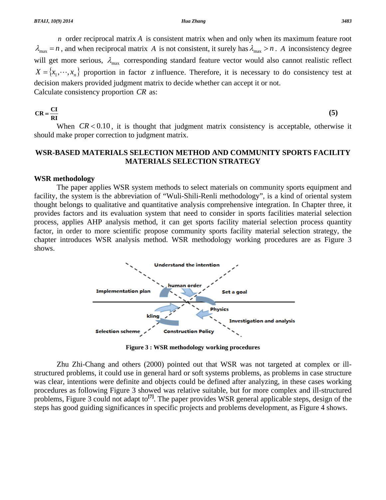*n* order reciprocal matrix *A* is consistent matrix when and only when its maximum feature root  $\lambda_{\text{max}} = n$ , and when reciprocal matrix *A* is not consistent, it surely has  $\lambda_{\text{max}} > n$ . *A* inconsistency degree will get more serious,  $\lambda_{\text{max}}$  corresponding standard feature vector would also cannot realistic reflect  $X = \{x_1, \dots, x_n\}$  proportion in factor *z* influence. Therefore, it is necessary to do consistency test at decision makers provided judgment matrix to decide whether can accept it or not. Calculate consistency proportion *CR* as:

$$
CR = \frac{CI}{RI}
$$
 (5)

When  $CR < 0.10$ , it is thought that judgment matrix consistency is acceptable, otherwise it should make proper correction to judgment matrix.

# **WSR-BASED MATERIALS SELECTION METHOD AND COMMUNITY SPORTS FACILITY MATERIALS SELECTION STRATEGY**

#### **WSR methodology**

 The paper applies WSR system methods to select materials on community sports equipment and facility, the system is the abbreviation of "Wuli-Shili-Renli methodology", is a kind of oriental system thought belongs to qualitative and quantitative analysis comprehensive integration. In Chapter three, it provides factors and its evaluation system that need to consider in sports facilities material selection process, applies AHP analysis method, it can get sports facility material selection process quantity factor, in order to more scientific propose community sports facility material selection strategy, the chapter introduces WSR analysis method. WSR methodology working procedures are as Figure 3 shows.



**Figure 3 : WSR methodology working procedures**

Zhu Zhi-Chang and others (2000) pointed out that WSR was not targeted at complex or illstructured problems, it could use in general hard or soft systems problems, as problems in case structure was clear, intentions were definite and objects could be defined after analyzing, in these cases working procedures as following Figure 3 showed was relative suitable, but for more complex and ill-structured problems, Figure 3 could not adapt to<sup>[7]</sup>. The paper provides WSR general applicable steps, design of the steps has good guiding significances in specific projects and problems development, as Figure 4 shows.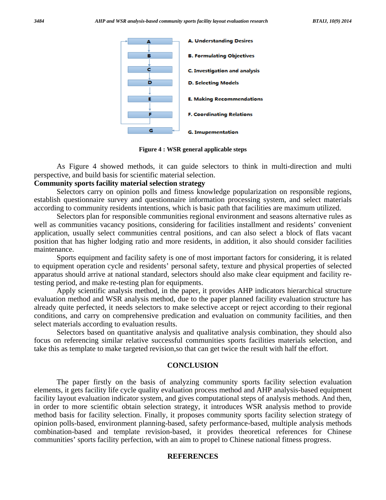

**Figure 4 : WSR general applicable steps** 

As Figure 4 showed methods, it can guide selectors to think in multi-direction and multi perspective, and build basis for scientific material selection.

### **Community sports facility material selection strategy**

 Selectors carry on opinion polls and fitness knowledge popularization on responsible regions, establish questionnaire survey and questionnaire information processing system, and select materials according to community residents intentions, which is basic path that facilities are maximum utilized.

 Selectors plan for responsible communities regional environment and seasons alternative rules as well as communities vacancy positions, considering for facilities installment and residents' convenient application, usually select communities central positions, and can also select a block of flats vacant position that has higher lodging ratio and more residents, in addition, it also should consider facilities maintenance.

 Sports equipment and facility safety is one of most important factors for considering, it is related to equipment operation cycle and residents' personal safety, texture and physical properties of selected apparatus should arrive at national standard, selectors should also make clear equipment and facility retesting period, and make re-testing plan for equipments.

 Apply scientific analysis method, in the paper, it provides AHP indicators hierarchical structure evaluation method and WSR analysis method, due to the paper planned facility evaluation structure has already quite perfected, it needs selectors to make selective accept or reject according to their regional conditions, and carry on comprehensive predication and evaluation on community facilities, and then select materials according to evaluation results.

 Selectors based on quantitative analysis and qualitative analysis combination, they should also focus on referencing similar relative successful communities sports facilities materials selection, and take this as template to make targeted revision,so that can get twice the result with half the effort.

#### **CONCLUSION**

 The paper firstly on the basis of analyzing community sports facility selection evaluation elements, it gets facility life cycle quality evaluation process method and AHP analysis-based equipment facility layout evaluation indicator system, and gives computational steps of analysis methods. And then, in order to more scientific obtain selection strategy, it introduces WSR analysis method to provide method basis for facility selection. Finally, it proposes community sports facility selection strategy of opinion polls-based, environment planning-based, safety performance-based, multiple analysis methods combination-based and template revision-based, it provides theoretical references for Chinese communities' sports facility perfection, with an aim to propel to Chinese national fitness progress.

#### **REFERENCES**